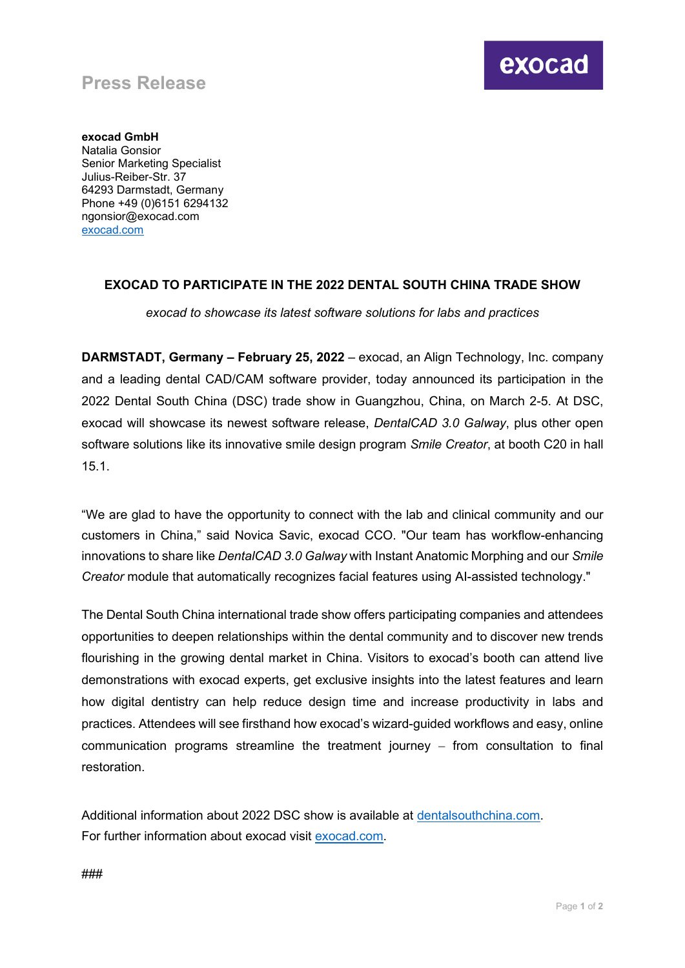## **Press Release**

**exocad GmbH** Natalia Gonsior Senior Marketing Specialist Julius-Reiber-Str. 37 64293 Darmstadt, Germany Phone +49 (0)6151 6294132 ngonsior@exocad.com [exocad.com](http://www.exocad.com/)

## **EXOCAD TO PARTICIPATE IN THE 2022 DENTAL SOUTH CHINA TRADE SHOW**

*exocad to showcase its latest software solutions for labs and practices*

**DARMSTADT, Germany – February 25, 2022** – exocad, an Align Technology, Inc. company and a leading dental CAD/CAM software provider, today announced its participation in the 2022 Dental South China (DSC) trade show in Guangzhou, China, on March 2-5. At DSC, exocad will showcase its newest software release, *DentalCAD 3.0 Galway*, plus other open software solutions like its innovative smile design program *Smile Creator*, at booth C20 in hall 15.1.

"We are glad to have the opportunity to connect with the lab and clinical community and our customers in China," said Novica Savic, exocad CCO. "Our team has workflow-enhancing innovations to share like *DentalCAD 3.0 Galway* with Instant Anatomic Morphing and our *Smile Creator* module that automatically recognizes facial features using AI-assisted technology."

The Dental South China international trade show offers participating companies and attendees opportunities to deepen relationships within the dental community and to discover new trends flourishing in the growing dental market in China. Visitors to exocad's booth can attend live demonstrations with exocad experts, get exclusive insights into the latest features and learn how digital dentistry can help reduce design time and increase productivity in labs and practices. Attendees will see firsthand how exocad's wizard-guided workflows and easy, online communication programs streamline the treatment journey – from consultation to final restoration.

Additional information about 2022 DSC show is available at [dentalsouthchina.com.](https://dentalsouthchina.com/?_l=en) For further information about exocad visit [exocad.com.](https://exocad.com/)

###